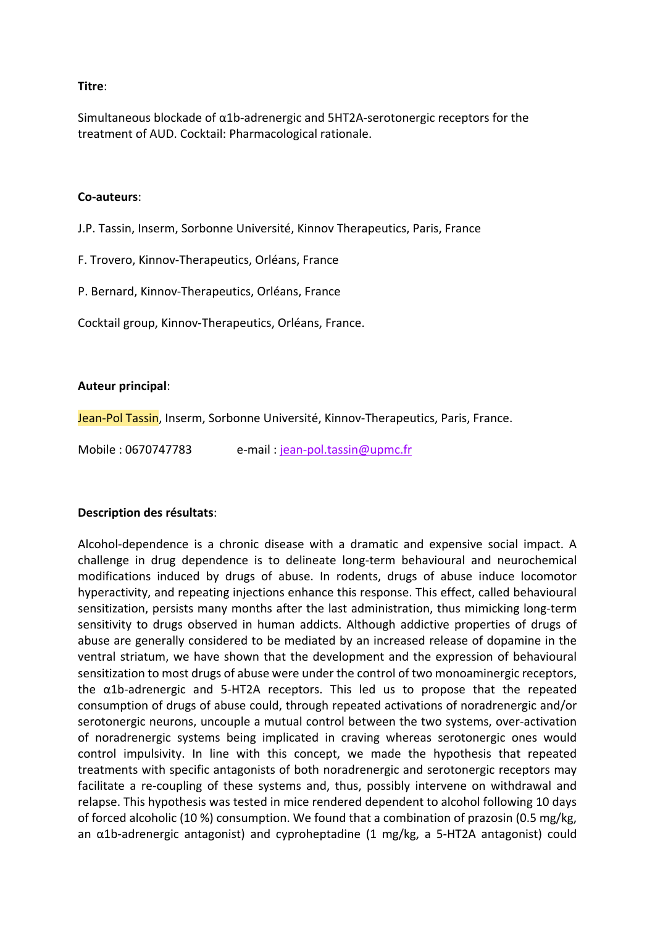## **Titre**:

Simultaneous blockade of α1b-adrenergic and 5HT2A-serotonergic receptors for the treatment of AUD. Cocktail: Pharmacological rationale.

## **Co-auteurs**:

J.P. Tassin, Inserm, Sorbonne Université, Kinnov Therapeutics, Paris, France

F. Trovero, Kinnov-Therapeutics, Orléans, France

P. Bernard, Kinnov-Therapeutics, Orléans, France

Cocktail group, Kinnov-Therapeutics, Orléans, France.

## **Auteur principal**:

Jean-Pol Tassin, Inserm, Sorbonne Université, Kinnov-Therapeutics, Paris, France.

Mobile : 0670747783 e-mail : [jean-pol.tassin@upmc.fr](mailto:jean-pol.tassin@upmc.fr)

## **Description des résultats**:

Alcohol-dependence is a chronic disease with a dramatic and expensive social impact. A challenge in drug dependence is to delineate long-term behavioural and neurochemical modifications induced by drugs of abuse. In rodents, drugs of abuse induce locomotor hyperactivity, and repeating injections enhance this response. This effect, called behavioural sensitization, persists many months after the last administration, thus mimicking long-term sensitivity to drugs observed in human addicts. Although addictive properties of drugs of abuse are generally considered to be mediated by an increased release of dopamine in the ventral striatum, we have shown that the development and the expression of behavioural sensitization to most drugs of abuse were under the control of two monoaminergic receptors, the α1b-adrenergic and 5-HT2A receptors. This led us to propose that the repeated consumption of drugs of abuse could, through repeated activations of noradrenergic and/or serotonergic neurons, uncouple a mutual control between the two systems, over-activation of noradrenergic systems being implicated in craving whereas serotonergic ones would control impulsivity. In line with this concept, we made the hypothesis that repeated treatments with specific antagonists of both noradrenergic and serotonergic receptors may facilitate a re-coupling of these systems and, thus, possibly intervene on withdrawal and relapse. This hypothesis was tested in mice rendered dependent to alcohol following 10 days of forced alcoholic (10 %) consumption. We found that a combination of prazosin (0.5 mg/kg, an  $\alpha$ 1b-adrenergic antagonist) and cyproheptadine (1 mg/kg, a 5-HT2A antagonist) could